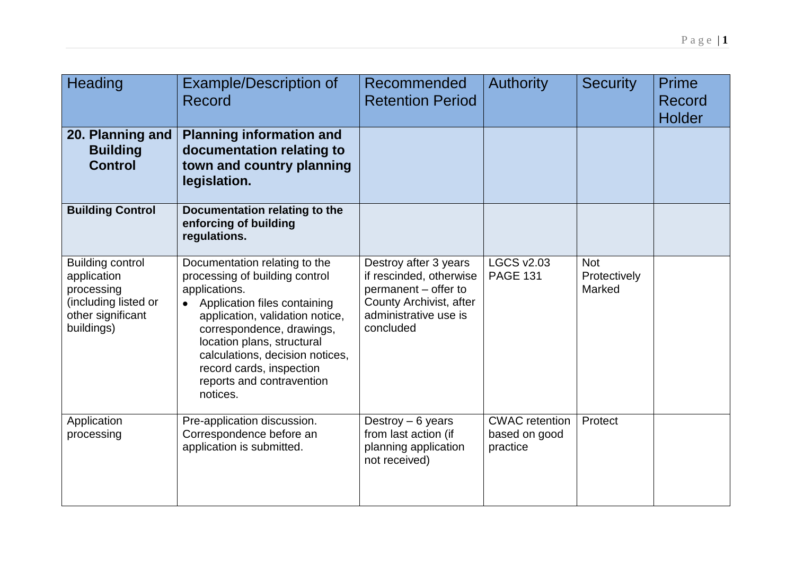| Heading                                                                                                         | <b>Example/Description of</b><br>Record                                                                                                                                                                                                                                                                                | Recommended<br><b>Retention Period</b>                                                                                                    | <b>Authority</b>                                   | <b>Security</b>                      | <b>Prime</b><br>Record<br><b>Holder</b> |
|-----------------------------------------------------------------------------------------------------------------|------------------------------------------------------------------------------------------------------------------------------------------------------------------------------------------------------------------------------------------------------------------------------------------------------------------------|-------------------------------------------------------------------------------------------------------------------------------------------|----------------------------------------------------|--------------------------------------|-----------------------------------------|
| 20. Planning and<br><b>Building</b><br><b>Control</b>                                                           | <b>Planning information and</b><br>documentation relating to<br>town and country planning<br>legislation.                                                                                                                                                                                                              |                                                                                                                                           |                                                    |                                      |                                         |
| <b>Building Control</b>                                                                                         | Documentation relating to the<br>enforcing of building<br>regulations.                                                                                                                                                                                                                                                 |                                                                                                                                           |                                                    |                                      |                                         |
| <b>Building control</b><br>application<br>processing<br>(including listed or<br>other significant<br>buildings) | Documentation relating to the<br>processing of building control<br>applications.<br>Application files containing<br>application, validation notice,<br>correspondence, drawings,<br>location plans, structural<br>calculations, decision notices,<br>record cards, inspection<br>reports and contravention<br>notices. | Destroy after 3 years<br>if rescinded, otherwise<br>permanent - offer to<br>County Archivist, after<br>administrative use is<br>concluded | <b>LGCS v2.03</b><br><b>PAGE 131</b>               | <b>Not</b><br>Protectively<br>Marked |                                         |
| Application<br>processing                                                                                       | Pre-application discussion.<br>Correspondence before an<br>application is submitted.                                                                                                                                                                                                                                   | Destroy $-6$ years<br>from last action (if<br>planning application<br>not received)                                                       | <b>CWAC</b> retention<br>based on good<br>practice | Protect                              |                                         |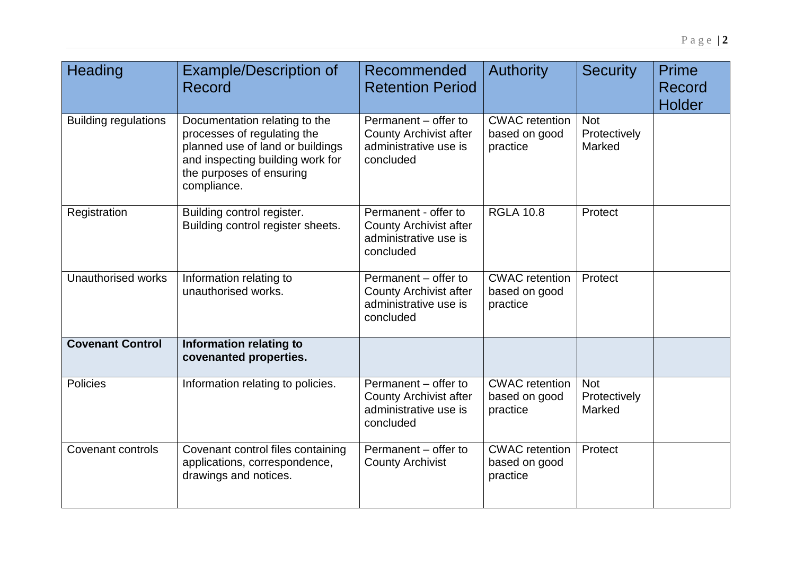| Heading                     | <b>Example/Description of</b><br>Record                                                                                                                                         | Recommended<br><b>Retention Period</b>                                                      | <b>Authority</b>                                   | <b>Security</b>                      | <b>Prime</b><br><b>Record</b><br><b>Holder</b> |
|-----------------------------|---------------------------------------------------------------------------------------------------------------------------------------------------------------------------------|---------------------------------------------------------------------------------------------|----------------------------------------------------|--------------------------------------|------------------------------------------------|
| <b>Building regulations</b> | Documentation relating to the<br>processes of regulating the<br>planned use of land or buildings<br>and inspecting building work for<br>the purposes of ensuring<br>compliance. | Permanent - offer to<br><b>County Archivist after</b><br>administrative use is<br>concluded | <b>CWAC</b> retention<br>based on good<br>practice | <b>Not</b><br>Protectively<br>Marked |                                                |
| Registration                | Building control register.<br>Building control register sheets.                                                                                                                 | Permanent - offer to<br><b>County Archivist after</b><br>administrative use is<br>concluded | <b>RGLA 10.8</b>                                   | Protect                              |                                                |
| <b>Unauthorised works</b>   | Information relating to<br>unauthorised works.                                                                                                                                  | Permanent - offer to<br><b>County Archivist after</b><br>administrative use is<br>concluded | <b>CWAC</b> retention<br>based on good<br>practice | Protect                              |                                                |
| <b>Covenant Control</b>     | Information relating to<br>covenanted properties.                                                                                                                               |                                                                                             |                                                    |                                      |                                                |
| Policies                    | Information relating to policies.                                                                                                                                               | Permanent - offer to<br><b>County Archivist after</b><br>administrative use is<br>concluded | <b>CWAC</b> retention<br>based on good<br>practice | <b>Not</b><br>Protectively<br>Marked |                                                |
| <b>Covenant controls</b>    | Covenant control files containing<br>applications, correspondence,<br>drawings and notices.                                                                                     | Permanent - offer to<br><b>County Archivist</b>                                             | <b>CWAC</b> retention<br>based on good<br>practice | Protect                              |                                                |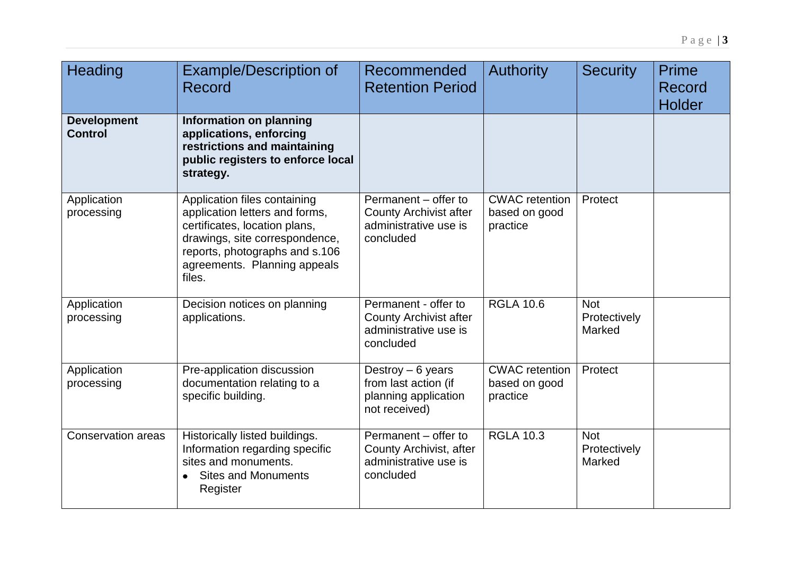| Heading                              | <b>Example/Description of</b><br>Record                                                                                                                                                                       | Recommended<br><b>Retention Period</b>                                                      | <b>Authority</b>                                   | <b>Security</b>                      | Prime<br>Record<br><b>Holder</b> |
|--------------------------------------|---------------------------------------------------------------------------------------------------------------------------------------------------------------------------------------------------------------|---------------------------------------------------------------------------------------------|----------------------------------------------------|--------------------------------------|----------------------------------|
| <b>Development</b><br><b>Control</b> | Information on planning<br>applications, enforcing<br>restrictions and maintaining<br>public registers to enforce local<br>strategy.                                                                          |                                                                                             |                                                    |                                      |                                  |
| Application<br>processing            | Application files containing<br>application letters and forms,<br>certificates, location plans,<br>drawings, site correspondence,<br>reports, photographs and s.106<br>agreements. Planning appeals<br>files. | Permanent - offer to<br><b>County Archivist after</b><br>administrative use is<br>concluded | <b>CWAC</b> retention<br>based on good<br>practice | Protect                              |                                  |
| Application<br>processing            | Decision notices on planning<br>applications.                                                                                                                                                                 | Permanent - offer to<br><b>County Archivist after</b><br>administrative use is<br>concluded | <b>RGLA 10.6</b>                                   | <b>Not</b><br>Protectively<br>Marked |                                  |
| Application<br>processing            | Pre-application discussion<br>documentation relating to a<br>specific building.                                                                                                                               | Destroy $-6$ years<br>from last action (if<br>planning application<br>not received)         | <b>CWAC</b> retention<br>based on good<br>practice | Protect                              |                                  |
| <b>Conservation areas</b>            | Historically listed buildings.<br>Information regarding specific<br>sites and monuments.<br><b>Sites and Monuments</b><br>$\bullet$<br>Register                                                               | Permanent - offer to<br>County Archivist, after<br>administrative use is<br>concluded       | <b>RGLA 10.3</b>                                   | <b>Not</b><br>Protectively<br>Marked |                                  |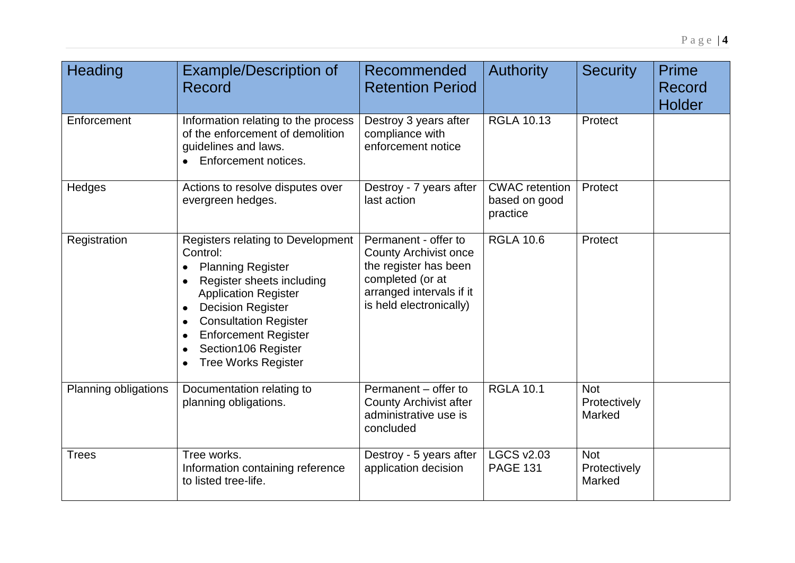| Heading              | <b>Example/Description of</b><br>Record                                                                                                                                                                                                                                                                         | Recommended<br><b>Retention Period</b>                                                                                                                   | <b>Authority</b>                                   | <b>Security</b>                             | <b>Prime</b><br>Record<br><b>Holder</b> |
|----------------------|-----------------------------------------------------------------------------------------------------------------------------------------------------------------------------------------------------------------------------------------------------------------------------------------------------------------|----------------------------------------------------------------------------------------------------------------------------------------------------------|----------------------------------------------------|---------------------------------------------|-----------------------------------------|
| Enforcement          | Information relating to the process<br>of the enforcement of demolition<br>guidelines and laws.<br>• Enforcement notices.                                                                                                                                                                                       | Destroy 3 years after<br>compliance with<br>enforcement notice                                                                                           | <b>RGLA 10.13</b>                                  | Protect                                     |                                         |
| Hedges               | Actions to resolve disputes over<br>evergreen hedges.                                                                                                                                                                                                                                                           | Destroy - 7 years after<br>last action                                                                                                                   | <b>CWAC</b> retention<br>based on good<br>practice | Protect                                     |                                         |
| Registration         | Registers relating to Development<br>Control:<br><b>Planning Register</b><br>Register sheets including<br><b>Application Register</b><br><b>Decision Register</b><br>$\bullet$<br><b>Consultation Register</b><br>$\bullet$<br><b>Enforcement Register</b><br>Section106 Register<br><b>Tree Works Register</b> | Permanent - offer to<br><b>County Archivist once</b><br>the register has been<br>completed (or at<br>arranged intervals if it<br>is held electronically) | <b>RGLA 10.6</b>                                   | Protect                                     |                                         |
| Planning obligations | Documentation relating to<br>planning obligations.                                                                                                                                                                                                                                                              | Permanent - offer to<br><b>County Archivist after</b><br>administrative use is<br>concluded                                                              | <b>RGLA 10.1</b>                                   | <b>Not</b><br>Protectively<br>Marked        |                                         |
| <b>Trees</b>         | Tree works.<br>Information containing reference<br>to listed tree-life.                                                                                                                                                                                                                                         | Destroy - 5 years after<br>application decision                                                                                                          | <b>LGCS v2.03</b><br><b>PAGE 131</b>               | <b>Not</b><br>Protectively<br><b>Marked</b> |                                         |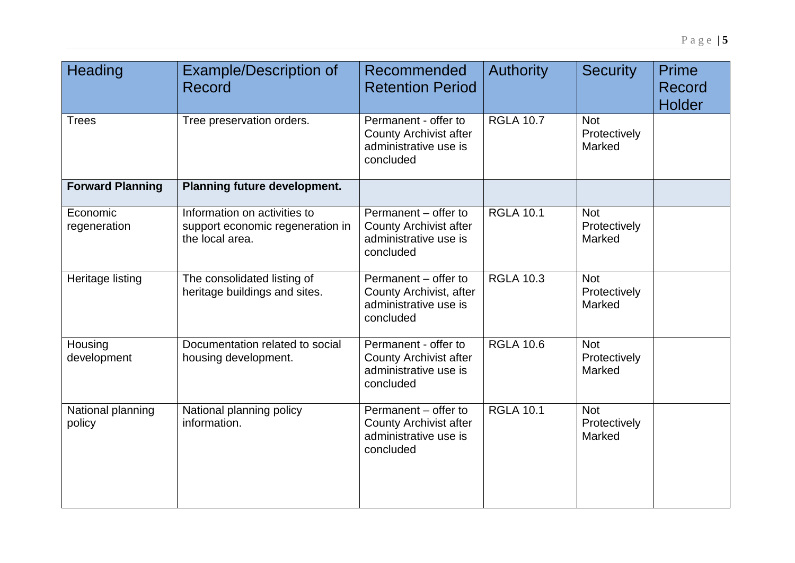| Heading                     | <b>Example/Description of</b><br><b>Record</b>                                      | Recommended<br><b>Retention Period</b>                                                      | <b>Authority</b> | <b>Security</b>                      | <b>Prime</b><br>Record<br><b>Holder</b> |
|-----------------------------|-------------------------------------------------------------------------------------|---------------------------------------------------------------------------------------------|------------------|--------------------------------------|-----------------------------------------|
| <b>Trees</b>                | Tree preservation orders.                                                           | Permanent - offer to<br><b>County Archivist after</b><br>administrative use is<br>concluded | <b>RGLA 10.7</b> | <b>Not</b><br>Protectively<br>Marked |                                         |
| <b>Forward Planning</b>     | <b>Planning future development.</b>                                                 |                                                                                             |                  |                                      |                                         |
| Economic<br>regeneration    | Information on activities to<br>support economic regeneration in<br>the local area. | Permanent - offer to<br><b>County Archivist after</b><br>administrative use is<br>concluded | <b>RGLA 10.1</b> | <b>Not</b><br>Protectively<br>Marked |                                         |
| Heritage listing            | The consolidated listing of<br>heritage buildings and sites.                        | Permanent - offer to<br>County Archivist, after<br>administrative use is<br>concluded       | <b>RGLA 10.3</b> | <b>Not</b><br>Protectively<br>Marked |                                         |
| Housing<br>development      | Documentation related to social<br>housing development.                             | Permanent - offer to<br><b>County Archivist after</b><br>administrative use is<br>concluded | <b>RGLA 10.6</b> | <b>Not</b><br>Protectively<br>Marked |                                         |
| National planning<br>policy | National planning policy<br>information.                                            | Permanent - offer to<br><b>County Archivist after</b><br>administrative use is<br>concluded | <b>RGLA 10.1</b> | <b>Not</b><br>Protectively<br>Marked |                                         |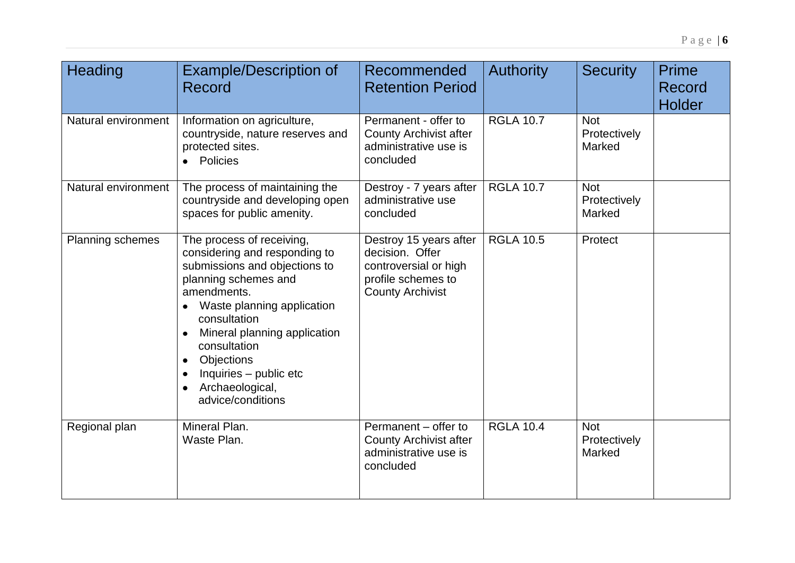| Heading             | <b>Example/Description of</b><br><b>Record</b>                                                                                                                                                                                                                                                                                                          | Recommended<br><b>Retention Period</b>                                                                              | <b>Authority</b> | <b>Security</b>                      | <b>Prime</b><br>Record<br><b>Holder</b> |
|---------------------|---------------------------------------------------------------------------------------------------------------------------------------------------------------------------------------------------------------------------------------------------------------------------------------------------------------------------------------------------------|---------------------------------------------------------------------------------------------------------------------|------------------|--------------------------------------|-----------------------------------------|
| Natural environment | Information on agriculture,<br>countryside, nature reserves and<br>protected sites.<br>• Policies                                                                                                                                                                                                                                                       | Permanent - offer to<br><b>County Archivist after</b><br>administrative use is<br>concluded                         | <b>RGLA 10.7</b> | <b>Not</b><br>Protectively<br>Marked |                                         |
| Natural environment | The process of maintaining the<br>countryside and developing open<br>spaces for public amenity.                                                                                                                                                                                                                                                         | Destroy - 7 years after<br>administrative use<br>concluded                                                          | <b>RGLA 10.7</b> | <b>Not</b><br>Protectively<br>Marked |                                         |
| Planning schemes    | The process of receiving,<br>considering and responding to<br>submissions and objections to<br>planning schemes and<br>amendments.<br>Waste planning application<br>consultation<br>Mineral planning application<br>$\bullet$<br>consultation<br>Objections<br>$\bullet$<br>Inquiries - public etc<br>$\bullet$<br>Archaeological,<br>advice/conditions | Destroy 15 years after<br>decision. Offer<br>controversial or high<br>profile schemes to<br><b>County Archivist</b> | <b>RGLA 10.5</b> | Protect                              |                                         |
| Regional plan       | Mineral Plan.<br>Waste Plan.                                                                                                                                                                                                                                                                                                                            | Permanent - offer to<br><b>County Archivist after</b><br>administrative use is<br>concluded                         | <b>RGLA 10.4</b> | <b>Not</b><br>Protectively<br>Marked |                                         |